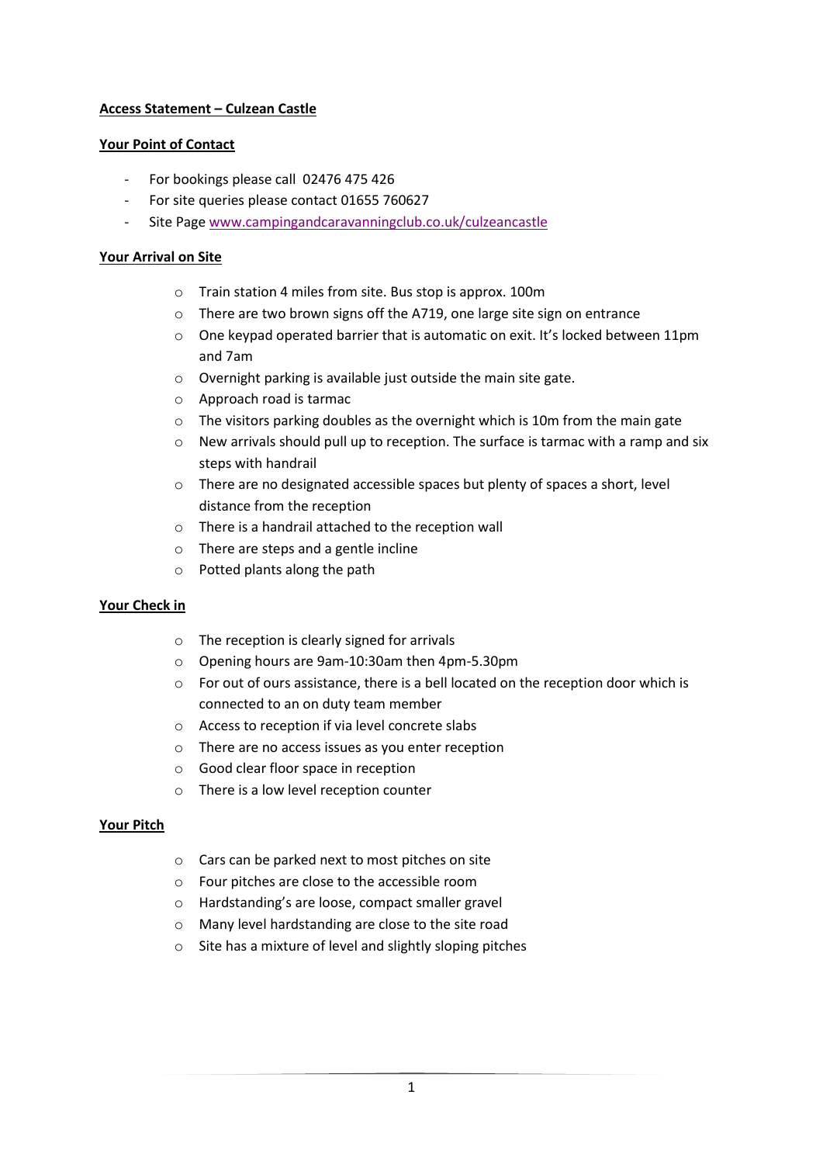# **Access Statement – Culzean Castle**

#### **Your Point of Contact**

- For bookings please call 02476 475 426
- For site queries please contact 01655 760627
- Site Page [www.campingandcaravanningclub.co.uk/culzeancastle](http://www.campingandcaravanningclub.co.uk/culzeancastle)

### **Your Arrival on Site**

- o Train station 4 miles from site. Bus stop is approx. 100m
- o There are two brown signs off the A719, one large site sign on entrance
- $\circ$  One keypad operated barrier that is automatic on exit. It's locked between 11pm and 7am
- o Overnight parking is available just outside the main site gate.
- o Approach road is tarmac
- o The visitors parking doubles as the overnight which is 10m from the main gate
- $\circ$  New arrivals should pull up to reception. The surface is tarmac with a ramp and six steps with handrail
- o There are no designated accessible spaces but plenty of spaces a short, level distance from the reception
- o There is a handrail attached to the reception wall
- o There are steps and a gentle incline
- o Potted plants along the path

# **Your Check in**

- o The reception is clearly signed for arrivals
- o Opening hours are 9am-10:30am then 4pm-5.30pm
- o For out of ours assistance, there is a bell located on the reception door which is connected to an on duty team member
- o Access to reception if via level concrete slabs
- o There are no access issues as you enter reception
- o Good clear floor space in reception
- o There is a low level reception counter

#### **Your Pitch**

- o Cars can be parked next to most pitches on site
- o Four pitches are close to the accessible room
- o Hardstanding's are loose, compact smaller gravel
- o Many level hardstanding are close to the site road
- o Site has a mixture of level and slightly sloping pitches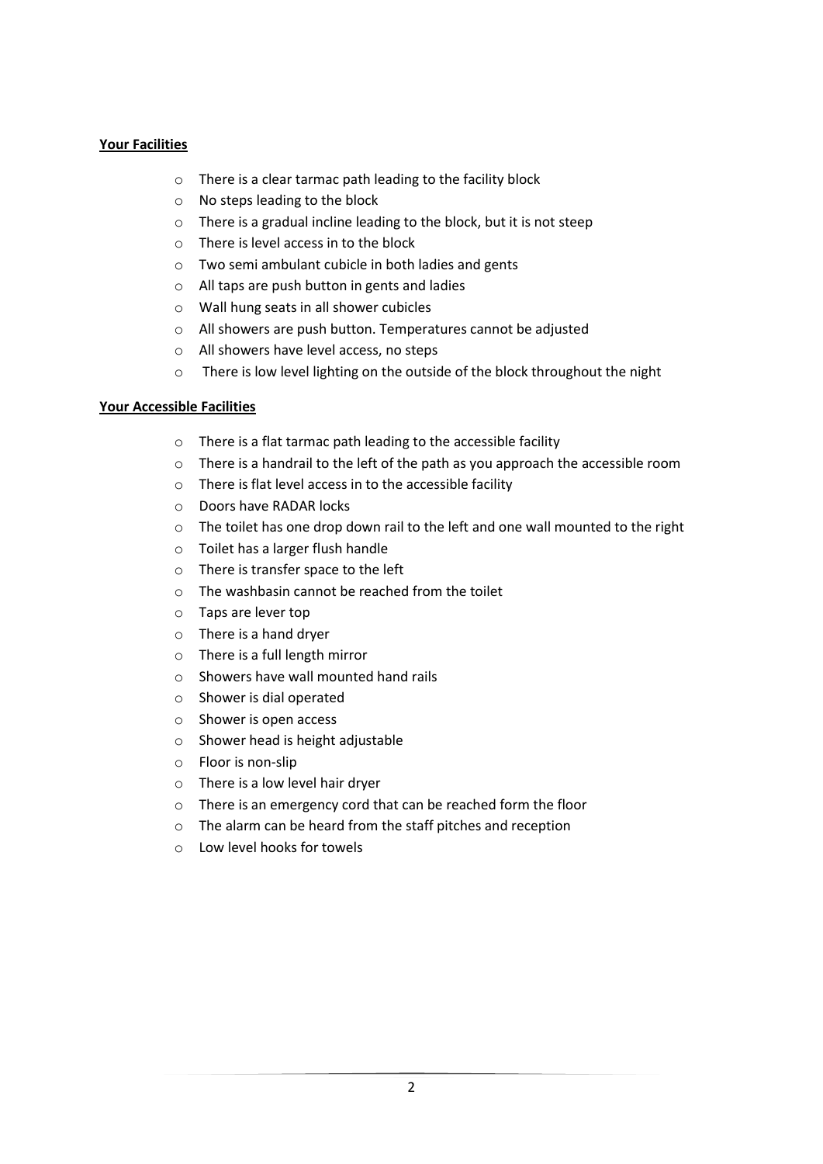## **Your Facilities**

- o There is a clear tarmac path leading to the facility block
- o No steps leading to the block
- o There is a gradual incline leading to the block, but it is not steep
- o There is level access in to the block
- o Two semi ambulant cubicle in both ladies and gents
- o All taps are push button in gents and ladies
- o Wall hung seats in all shower cubicles
- o All showers are push button. Temperatures cannot be adjusted
- o All showers have level access, no steps
- o There is low level lighting on the outside of the block throughout the night

#### **Your Accessible Facilities**

- o There is a flat tarmac path leading to the accessible facility
- o There is a handrail to the left of the path as you approach the accessible room
- o There is flat level access in to the accessible facility
- o Doors have RADAR locks
- o The toilet has one drop down rail to the left and one wall mounted to the right
- o Toilet has a larger flush handle
- o There is transfer space to the left
- o The washbasin cannot be reached from the toilet
- o Taps are lever top
- o There is a hand dryer
- o There is a full length mirror
- o Showers have wall mounted hand rails
- o Shower is dial operated
- o Shower is open access
- o Shower head is height adjustable
- o Floor is non-slip
- o There is a low level hair dryer
- o There is an emergency cord that can be reached form the floor
- o The alarm can be heard from the staff pitches and reception
- o Low level hooks for towels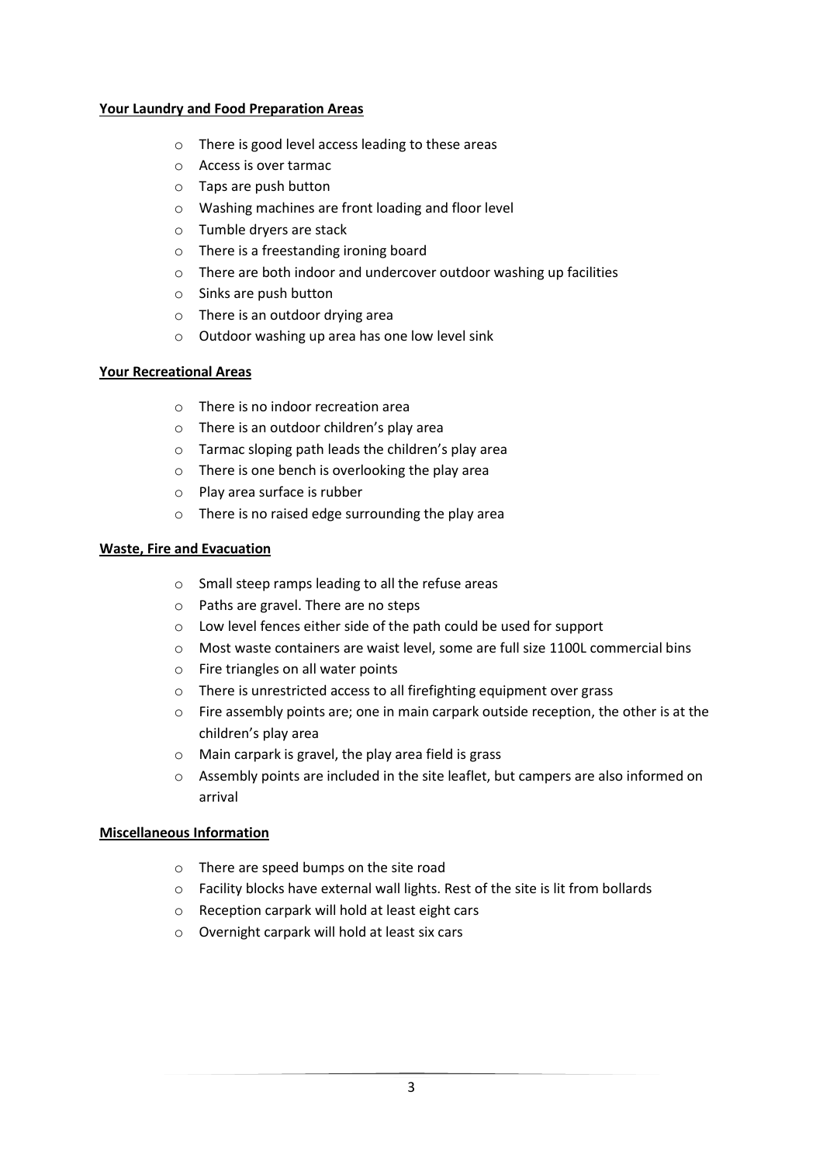#### **Your Laundry and Food Preparation Areas**

- o There is good level access leading to these areas
- o Access is over tarmac
- o Taps are push button
- o Washing machines are front loading and floor level
- o Tumble dryers are stack
- o There is a freestanding ironing board
- o There are both indoor and undercover outdoor washing up facilities
- o Sinks are push button
- o There is an outdoor drying area
- o Outdoor washing up area has one low level sink

#### **Your Recreational Areas**

- o There is no indoor recreation area
- o There is an outdoor children's play area
- o Tarmac sloping path leads the children's play area
- o There is one bench is overlooking the play area
- o Play area surface is rubber
- o There is no raised edge surrounding the play area

#### **Waste, Fire and Evacuation**

- o Small steep ramps leading to all the refuse areas
- o Paths are gravel. There are no steps
- o Low level fences either side of the path could be used for support
- o Most waste containers are waist level, some are full size 1100L commercial bins
- o Fire triangles on all water points
- o There is unrestricted access to all firefighting equipment over grass
- o Fire assembly points are; one in main carpark outside reception, the other is at the children's play area
- o Main carpark is gravel, the play area field is grass
- o Assembly points are included in the site leaflet, but campers are also informed on arrival

#### **Miscellaneous Information**

- o There are speed bumps on the site road
- o Facility blocks have external wall lights. Rest of the site is lit from bollards
- o Reception carpark will hold at least eight cars
- o Overnight carpark will hold at least six cars